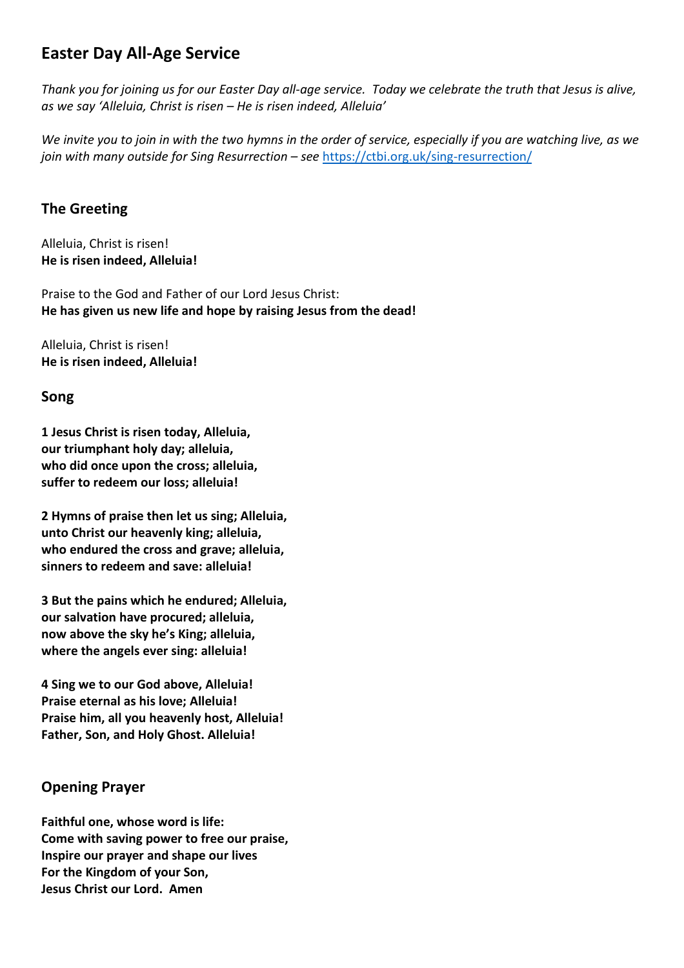# **Easter Day All-Age Service**

*Thank you for joining us for our Easter Day all-age service. Today we celebrate the truth that Jesus is alive, as we say 'Alleluia, Christ is risen – He is risen indeed, Alleluia'*

*We invite you to join in with the two hymns in the order of service, especially if you are watching live, as we join with many outside for Sing Resurrection – see <https://ctbi.org.uk/sing-resurrection/>* 

### **The Greeting**

Alleluia, Christ is risen! **He is risen indeed, Alleluia!**

Praise to the God and Father of our Lord Jesus Christ: **He has given us new life and hope by raising Jesus from the dead!**

Alleluia, Christ is risen! **He is risen indeed, Alleluia!**

### **Song**

**1 Jesus Christ is risen today, Alleluia, our triumphant holy day; alleluia, who did once upon the cross; alleluia, suffer to redeem our loss; alleluia!**

**2 Hymns of praise then let us sing; Alleluia, unto Christ our heavenly king; alleluia, who endured the cross and grave; alleluia, sinners to redeem and save: alleluia!**

**3 But the pains which he endured; Alleluia, our salvation have procured; alleluia, now above the sky he's King; alleluia, where the angels ever sing: alleluia!**

**4 Sing we to our God above, Alleluia! Praise eternal as his love; Alleluia! Praise him, all you heavenly host, Alleluia! Father, Son, and Holy Ghost. Alleluia!**

# **Opening Prayer**

**Faithful one, whose word is life: Come with saving power to free our praise, Inspire our prayer and shape our lives For the Kingdom of your Son, Jesus Christ our Lord. Amen**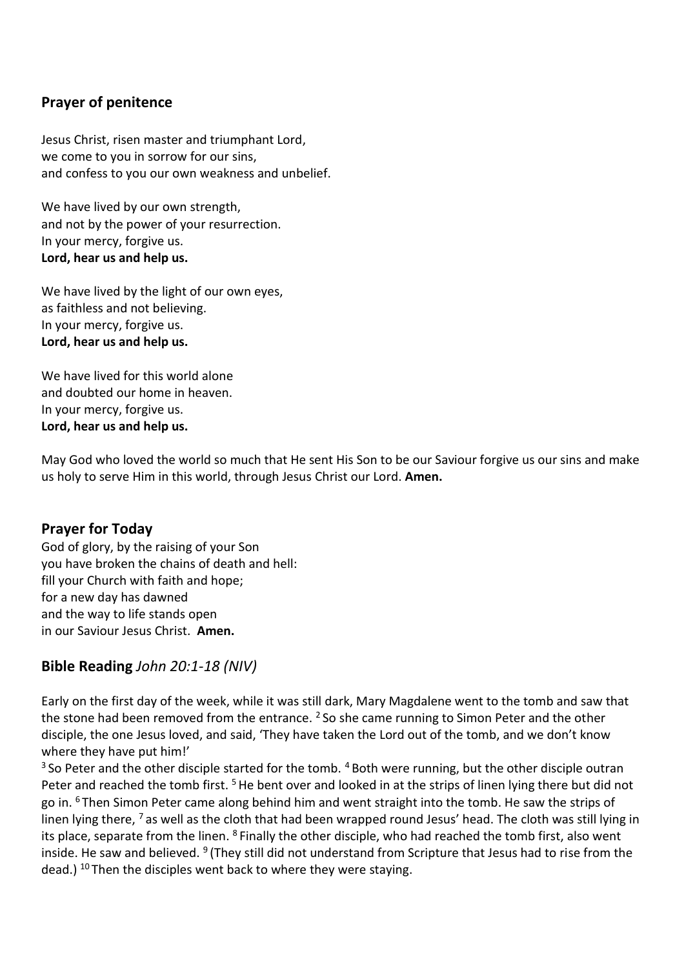## **Prayer of penitence**

Jesus Christ, risen master and triumphant Lord, we come to you in sorrow for our sins, and confess to you our own weakness and unbelief.

We have lived by our own strength, and not by the power of your resurrection. In your mercy, forgive us. **Lord, hear us and help us.**

We have lived by the light of our own eyes, as faithless and not believing. In your mercy, forgive us. **Lord, hear us and help us.**

We have lived for this world alone and doubted our home in heaven. In your mercy, forgive us. **Lord, hear us and help us.**

May God who loved the world so much that He sent His Son to be our Saviour forgive us our sins and make us holy to serve Him in this world, through Jesus Christ our Lord. **Amen.**

#### **Prayer for Today**

God of glory, by the raising of your Son you have broken the chains of death and hell: fill your Church with faith and hope; for a new day has dawned and the way to life stands open in our Saviour Jesus Christ. **Amen.**

### **Bible Reading** *John 20:1-18 (NIV)*

Early on the first day of the week, while it was still dark, Mary Magdalene went to the tomb and saw that the stone had been removed from the entrance.  $2$  So she came running to Simon Peter and the other disciple, the one Jesus loved, and said, 'They have taken the Lord out of the tomb, and we don't know where they have put him!'

 $3$  So Peter and the other disciple started for the tomb.  $4$  Both were running, but the other disciple outran Peter and reached the tomb first.<sup>5</sup> He bent over and looked in at the strips of linen lying there but did not go in. <sup>6</sup> Then Simon Peter came along behind him and went straight into the tomb. He saw the strips of linen lying there, <sup>7</sup> as well as the cloth that had been wrapped round Jesus' head. The cloth was still lying in its place, separate from the linen. <sup>8</sup> Finally the other disciple, who had reached the tomb first, also went inside. He saw and believed. <sup>9</sup> (They still did not understand from Scripture that Jesus had to rise from the dead.) <sup>10</sup> Then the disciples went back to where they were staying.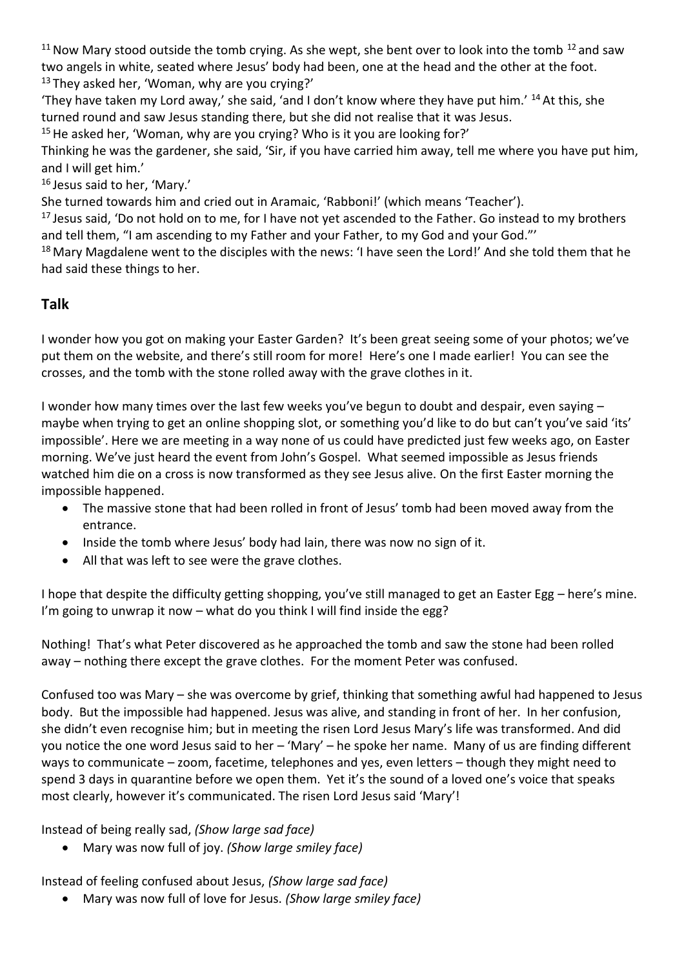$11$  Now Mary stood outside the tomb crying. As she wept, she bent over to look into the tomb  $12$  and saw two angels in white, seated where Jesus' body had been, one at the head and the other at the foot. <sup>13</sup> They asked her, 'Woman, why are you crying?'

'They have taken my Lord away,' she said, 'and I don't know where they have put him.'  $^{14}$  At this, she turned round and saw Jesus standing there, but she did not realise that it was Jesus.

 $15$  He asked her, 'Woman, why are you crying? Who is it you are looking for?'

Thinking he was the gardener, she said, 'Sir, if you have carried him away, tell me where you have put him, and I will get him.'

<sup>16</sup> Jesus said to her, 'Mary.'

She turned towards him and cried out in Aramaic, 'Rabboni!' (which means 'Teacher').

<sup>17</sup> Jesus said, 'Do not hold on to me, for I have not yet ascended to the Father. Go instead to my brothers and tell them, "I am ascending to my Father and your Father, to my God and your God."'

<sup>18</sup> Mary Magdalene went to the disciples with the news: 'I have seen the Lord!' And she told them that he had said these things to her.

# **Talk**

I wonder how you got on making your Easter Garden? It's been great seeing some of your photos; we've put them on the website, and there's still room for more! Here's one I made earlier! You can see the crosses, and the tomb with the stone rolled away with the grave clothes in it.

I wonder how many times over the last few weeks you've begun to doubt and despair, even saying – maybe when trying to get an online shopping slot, or something you'd like to do but can't you've said 'its' impossible'. Here we are meeting in a way none of us could have predicted just few weeks ago, on Easter morning. We've just heard the event from John's Gospel. What seemed impossible as Jesus friends watched him die on a cross is now transformed as they see Jesus alive. On the first Easter morning the impossible happened.

- The massive stone that had been rolled in front of Jesus' tomb had been moved away from the entrance.
- Inside the tomb where Jesus' body had lain, there was now no sign of it.
- All that was left to see were the grave clothes.

I hope that despite the difficulty getting shopping, you've still managed to get an Easter Egg – here's mine. I'm going to unwrap it now – what do you think I will find inside the egg?

Nothing! That's what Peter discovered as he approached the tomb and saw the stone had been rolled away – nothing there except the grave clothes. For the moment Peter was confused.

Confused too was Mary – she was overcome by grief, thinking that something awful had happened to Jesus body. But the impossible had happened. Jesus was alive, and standing in front of her. In her confusion, she didn't even recognise him; but in meeting the risen Lord Jesus Mary's life was transformed. And did you notice the one word Jesus said to her – 'Mary' – he spoke her name. Many of us are finding different ways to communicate – zoom, facetime, telephones and yes, even letters – though they might need to spend 3 days in quarantine before we open them. Yet it's the sound of a loved one's voice that speaks most clearly, however it's communicated. The risen Lord Jesus said 'Mary'!

Instead of being really sad, *(Show large sad face)* 

• Mary was now full of joy. *(Show large smiley face)* 

Instead of feeling confused about Jesus, *(Show large sad face)* 

• Mary was now full of love for Jesus. *(Show large smiley face)*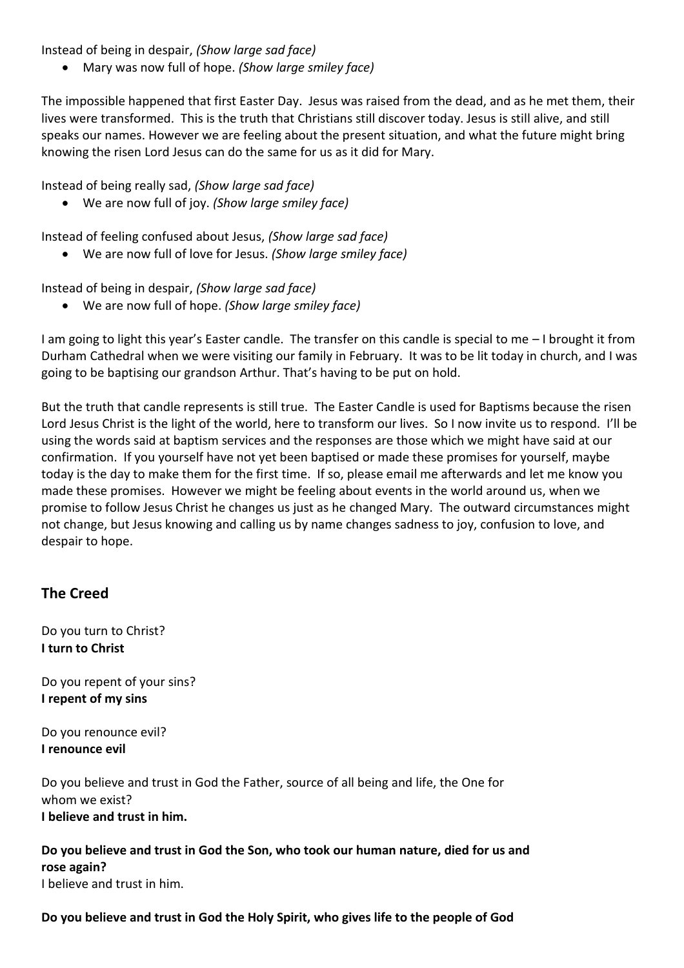Instead of being in despair, *(Show large sad face)* 

• Mary was now full of hope. *(Show large smiley face)* 

The impossible happened that first Easter Day. Jesus was raised from the dead, and as he met them, their lives were transformed. This is the truth that Christians still discover today. Jesus is still alive, and still speaks our names. However we are feeling about the present situation, and what the future might bring knowing the risen Lord Jesus can do the same for us as it did for Mary.

Instead of being really sad, *(Show large sad face)* 

• We are now full of joy. *(Show large smiley face)* 

Instead of feeling confused about Jesus, *(Show large sad face)* 

• We are now full of love for Jesus. *(Show large smiley face)* 

Instead of being in despair, *(Show large sad face)* 

• We are now full of hope. *(Show large smiley face)* 

I am going to light this year's Easter candle. The transfer on this candle is special to me – I brought it from Durham Cathedral when we were visiting our family in February. It was to be lit today in church, and I was going to be baptising our grandson Arthur. That's having to be put on hold.

But the truth that candle represents is still true. The Easter Candle is used for Baptisms because the risen Lord Jesus Christ is the light of the world, here to transform our lives. So I now invite us to respond. I'll be using the words said at baptism services and the responses are those which we might have said at our confirmation. If you yourself have not yet been baptised or made these promises for yourself, maybe today is the day to make them for the first time. If so, please email me afterwards and let me know you made these promises. However we might be feeling about events in the world around us, when we promise to follow Jesus Christ he changes us just as he changed Mary. The outward circumstances might not change, but Jesus knowing and calling us by name changes sadness to joy, confusion to love, and despair to hope.

# **The Creed**

Do you turn to Christ? **I turn to Christ**

Do you repent of your sins? **I repent of my sins**

Do you renounce evil? **I renounce evil**

Do you believe and trust in God the Father, source of all being and life, the One for whom we exist? **I believe and trust in him.**

**Do you believe and trust in God the Son, who took our human nature, died for us and rose again?** I believe and trust in him.

**Do you believe and trust in God the Holy Spirit, who gives life to the people of God**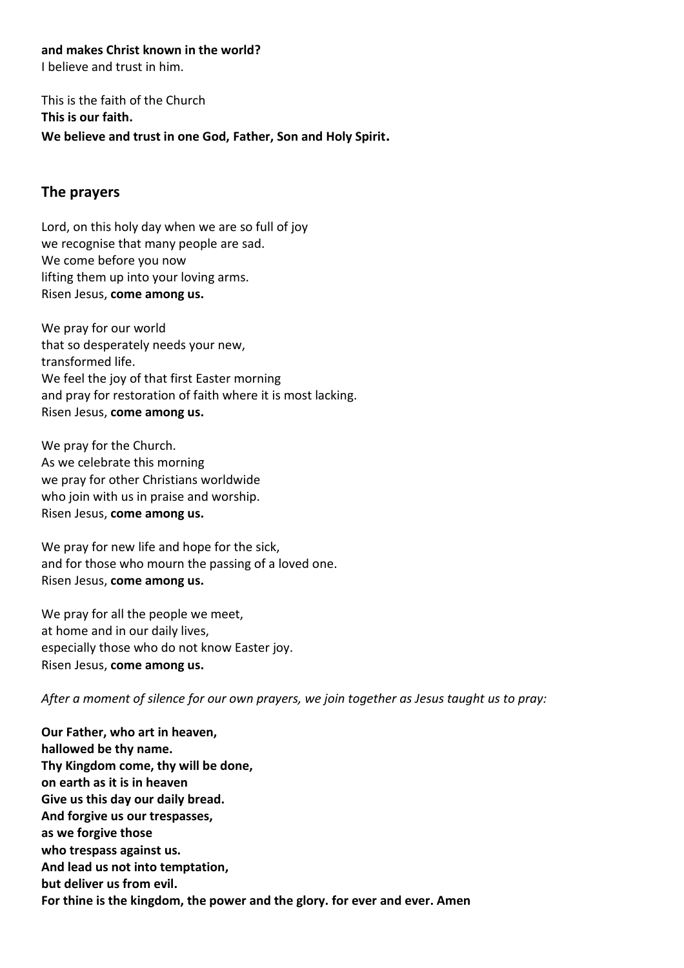**and makes Christ known in the world?**

I believe and trust in him.

This is the faith of the Church **This is our faith. We believe and trust in one God, Father, Son and Holy Spirit.**

### **The prayers**

Lord, on this holy day when we are so full of joy we recognise that many people are sad. We come before you now lifting them up into your loving arms. Risen Jesus, **come among us.**

We pray for our world that so desperately needs your new, transformed life. We feel the joy of that first Easter morning and pray for restoration of faith where it is most lacking. Risen Jesus, **come among us.**

We pray for the Church. As we celebrate this morning we pray for other Christians worldwide who join with us in praise and worship. Risen Jesus, **come among us.**

We pray for new life and hope for the sick, and for those who mourn the passing of a loved one. Risen Jesus, **come among us.**

We pray for all the people we meet, at home and in our daily lives, especially those who do not know Easter joy. Risen Jesus, **come among us.**

*After a moment of silence for our own prayers, we join together as Jesus taught us to pray:*

**Our Father, who art in heaven, hallowed be thy name. Thy Kingdom come, thy will be done, on earth as it is in heaven Give us this day our daily bread. And forgive us our trespasses, as we forgive those who trespass against us. And lead us not into temptation, but deliver us from evil. For thine is the kingdom, the power and the glory. for ever and ever. Amen**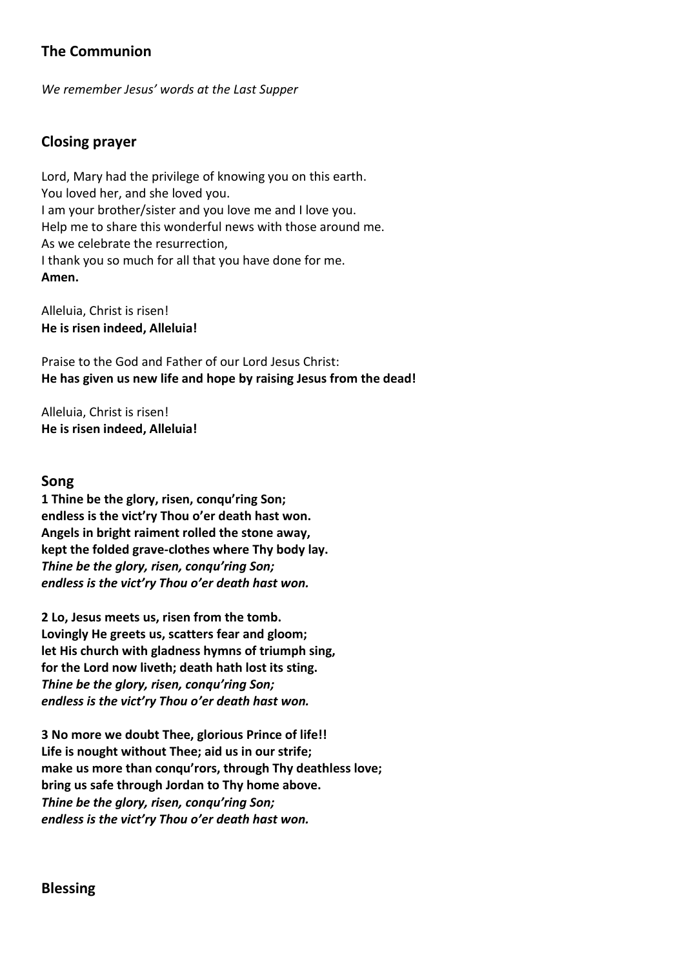# **The Communion**

*We remember Jesus' words at the Last Supper*

### **Closing prayer**

Lord, Mary had the privilege of knowing you on this earth. You loved her, and she loved you. I am your brother/sister and you love me and I love you. Help me to share this wonderful news with those around me. As we celebrate the resurrection, I thank you so much for all that you have done for me. **Amen.**

Alleluia, Christ is risen! **He is risen indeed, Alleluia!**

Praise to the God and Father of our Lord Jesus Christ: **He has given us new life and hope by raising Jesus from the dead!**

Alleluia, Christ is risen! **He is risen indeed, Alleluia!**

#### **Song**

**1 Thine be the glory, risen, conqu'ring Son; endless is the vict'ry Thou o'er death hast won. Angels in bright raiment rolled the stone away, kept the folded grave-clothes where Thy body lay.** *Thine be the glory, risen, conqu'ring Son; endless is the vict'ry Thou o'er death hast won.*

**2 Lo, Jesus meets us, risen from the tomb. Lovingly He greets us, scatters fear and gloom; let His church with gladness hymns of triumph sing, for the Lord now liveth; death hath lost its sting.**  *Thine be the glory, risen, conqu'ring Son; endless is the vict'ry Thou o'er death hast won.*

**3 No more we doubt Thee, glorious Prince of life!! Life is nought without Thee; aid us in our strife; make us more than conqu'rors, through Thy deathless love; bring us safe through Jordan to Thy home above.**  *Thine be the glory, risen, conqu'ring Son; endless is the vict'ry Thou o'er death hast won.*

### **Blessing**